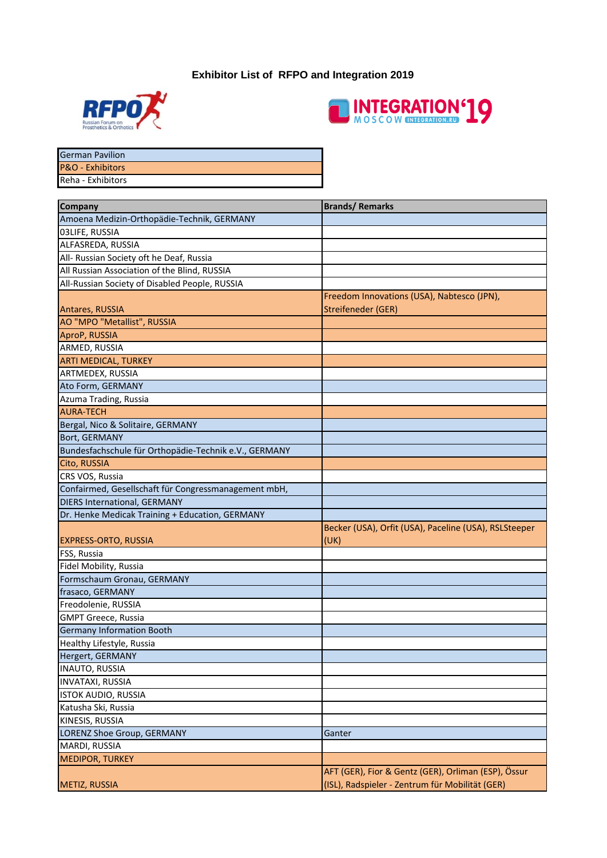## **Exhibitor List of RFPO and Integration 2019**





| German Pavilion             |  |
|-----------------------------|--|
| <b>P&amp;O</b> - Exhibitors |  |
| Reha - Exhibitors           |  |
|                             |  |

| <b>Company</b>                                        | <b>Brands/Remarks</b>                                 |
|-------------------------------------------------------|-------------------------------------------------------|
| Amoena Medizin-Orthopädie-Technik, GERMANY            |                                                       |
| 03LIFE, RUSSIA                                        |                                                       |
| ALFASREDA, RUSSIA                                     |                                                       |
| All- Russian Society oft he Deaf, Russia              |                                                       |
| All Russian Association of the Blind, RUSSIA          |                                                       |
| All-Russian Society of Disabled People, RUSSIA        |                                                       |
|                                                       | Freedom Innovations (USA), Nabtesco (JPN),            |
| Antares, RUSSIA                                       | Streifeneder (GER)                                    |
| AO "MPO "Metallist", RUSSIA                           |                                                       |
| AproP, RUSSIA                                         |                                                       |
| ARMED, RUSSIA                                         |                                                       |
| <b>ARTI MEDICAL, TURKEY</b>                           |                                                       |
| ARTMEDEX, RUSSIA                                      |                                                       |
| Ato Form, GERMANY                                     |                                                       |
| Azuma Trading, Russia                                 |                                                       |
| <b>AURA-TECH</b>                                      |                                                       |
| Bergal, Nico & Solitaire, GERMANY                     |                                                       |
| Bort, GERMANY                                         |                                                       |
| Bundesfachschule für Orthopädie-Technik e.V., GERMANY |                                                       |
| Cito, RUSSIA                                          |                                                       |
| CRS VOS, Russia                                       |                                                       |
| Confairmed, Gesellschaft für Congressmanagement mbH,  |                                                       |
| DIERS International, GERMANY                          |                                                       |
| Dr. Henke Medicak Training + Education, GERMANY       |                                                       |
|                                                       | Becker (USA), Orfit (USA), Paceline (USA), RSLSteeper |
| <b>EXPRESS-ORTO, RUSSIA</b>                           | (UK)                                                  |
| FSS, Russia                                           |                                                       |
| Fidel Mobility, Russia                                |                                                       |
| Formschaum Gronau, GERMANY                            |                                                       |
| frasaco, GERMANY                                      |                                                       |
| Freodolenie, RUSSIA                                   |                                                       |
| <b>GMPT Greece, Russia</b>                            |                                                       |
| <b>Germany Information Booth</b>                      |                                                       |
| Healthy Lifestyle, Russia                             |                                                       |
| Hergert, GERMANY                                      |                                                       |
| <b>INAUTO, RUSSIA</b>                                 |                                                       |
| <b>INVATAXI, RUSSIA</b>                               |                                                       |
| <b>ISTOK AUDIO, RUSSIA</b>                            |                                                       |
| Katusha Ski, Russia                                   |                                                       |
| KINESIS, RUSSIA                                       |                                                       |
| LORENZ Shoe Group, GERMANY                            | Ganter                                                |
| MARDI, RUSSIA                                         |                                                       |
| <b>MEDIPOR, TURKEY</b>                                |                                                       |
|                                                       | AFT (GER), Fior & Gentz (GER), Orliman (ESP), Össur   |
| METIZ, RUSSIA                                         | (ISL), Radspieler - Zentrum für Mobilität (GER)       |